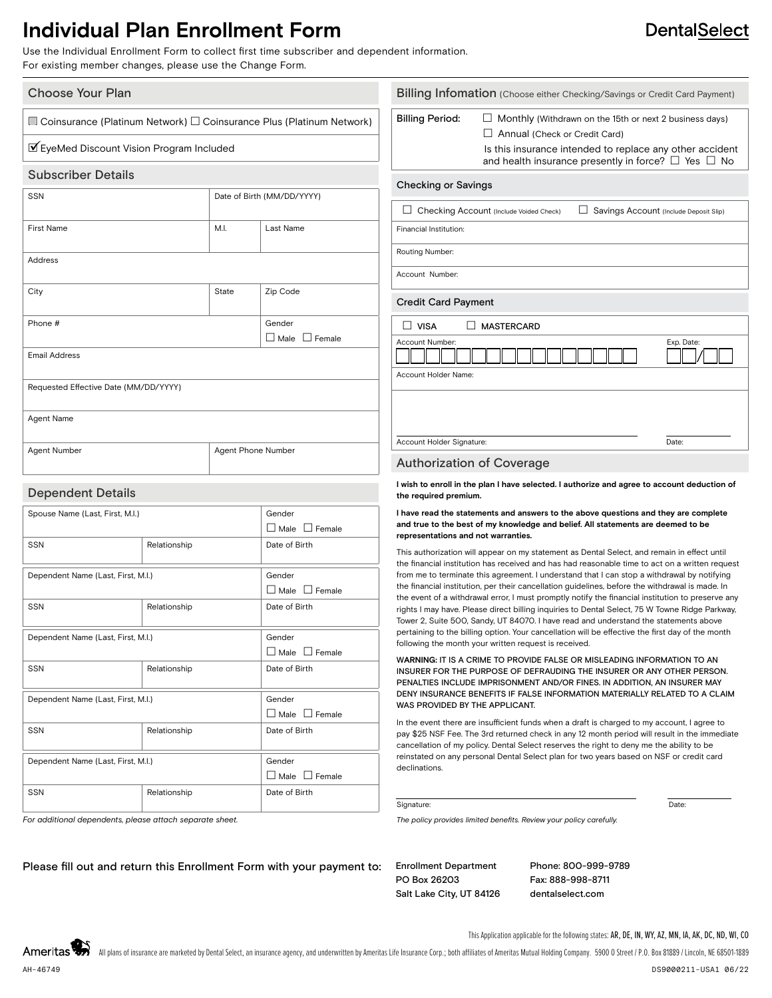## **Individual Plan Enrollment Form**

Use the Individual Enrollment Form to collect first time subscriber and dependent information. For existing member changes, please use the Change Form.

#### Choose Your Plan

 $\Box$  Coinsurance (Platinum Network)  $\Box$  Coinsurance Plus (Platinum Network)

### ■EyeMed Discount Vision Program Included

#### Subscriber Details

| <b>SSN</b>                            | Date of Birth (MM/DD/YYYY) |                                           |
|---------------------------------------|----------------------------|-------------------------------------------|
| <b>First Name</b>                     | M.I.                       | Last Name                                 |
| Address                               |                            |                                           |
| City                                  | State                      | Zip Code                                  |
| Phone #                               |                            | Gender<br>$\square$ Male<br>$\Box$ Female |
| <b>Email Address</b>                  |                            |                                           |
| Requested Effective Date (MM/DD/YYYY) |                            |                                           |
| Agent Name                            |                            |                                           |
| Agent Number                          | Agent Phone Number         |                                           |

#### Dependent Details

| Spouse Name (Last, First, M.I.)    |                                    | Gender                    |
|------------------------------------|------------------------------------|---------------------------|
|                                    |                                    | $\Box$ Male $\Box$ Female |
| SSN                                | Relationship                       | Date of Birth             |
|                                    |                                    |                           |
|                                    | Dependent Name (Last, First, M.I.) |                           |
|                                    |                                    | $\Box$ Male $\Box$ Female |
| SSN                                | Relationship                       | Date of Birth             |
|                                    |                                    |                           |
| Dependent Name (Last, First, M.I.) |                                    | Gender                    |
|                                    |                                    | $\Box$ Male $\Box$ Female |
| SSN                                | Relationship                       | Date of Birth             |
|                                    |                                    |                           |
| Dependent Name (Last, First, M.I.) |                                    | Gender                    |
|                                    |                                    | $\Box$ Male $\Box$ Female |
| <b>SSN</b>                         | Relationship                       | Date of Birth             |
|                                    |                                    |                           |
| Dependent Name (Last, First, M.I.) |                                    | Gender                    |
|                                    |                                    | $\Box$ Male $\Box$ Female |
| SSN                                | Relationship                       | Date of Birth             |
|                                    |                                    |                           |

*For additional dependents, please attach separate sheet.*

| <b>Billing Period:</b><br><b>Checking or Savings</b> | Annual (Check or Credit Card)<br>Is this insurance intended to replace any other accident<br>and health insurance presently in force? $\Box$ Yes $\Box$ No | Monthly (Withdrawn on the 15th or next 2 business days) |                                        |
|------------------------------------------------------|------------------------------------------------------------------------------------------------------------------------------------------------------------|---------------------------------------------------------|----------------------------------------|
|                                                      |                                                                                                                                                            |                                                         |                                        |
|                                                      |                                                                                                                                                            |                                                         |                                        |
|                                                      | Checking Account (Include Voided Check)                                                                                                                    |                                                         | Savings Account (Include Deposit Slip) |
| Financial Institution:                               |                                                                                                                                                            |                                                         |                                        |
| Routing Number:                                      |                                                                                                                                                            |                                                         |                                        |
| Account Number:                                      |                                                                                                                                                            |                                                         |                                        |
| <b>Credit Card Payment</b>                           |                                                                                                                                                            |                                                         |                                        |
| $\Box$ VISA                                          | <b>MASTERCARD</b>                                                                                                                                          |                                                         |                                        |
| Account Number:                                      |                                                                                                                                                            |                                                         | Exp. Date:                             |
| Account Holder Name:                                 |                                                                                                                                                            |                                                         |                                        |

#### **I wish to enroll in the plan I have selected. I authorize and agree to account deduction of the required premium.**

#### **I have read the statements and answers to the above questions and they are complete and true to the best of my knowledge and belief. All statements are deemed to be representations and not warranties.**

This authorization will appear on my statement as Dental Select, and remain in effect until the financial institution has received and has had reasonable time to act on a written request from me to terminate this agreement. I understand that I can stop a withdrawal by notifying the financial institution, per their cancellation guidelines, before the withdrawal is made. In the event of a withdrawal error, I must promptly notify the financial institution to preserve any rights I may have. Please direct billing inquiries to Dental Select, 75 W Towne Ridge Parkway, Tower 2, Suite 500, Sandy, UT 84070. I have read and understand the statements above pertaining to the billing option. Your cancellation will be effective the first day of the month following the month your written request is received.

W**ARNING:** IT IS A CRIME TO PROVIDE FALSE OR MISLEADING INFORMATION TO AN INSURER FOR THE PURPOSE OF DEFRAUDING THE INSURER OR ANY OTHER PERSON. PENALTIES INCLUDE IMPRISONMENT AND/OR FINES. IN ADDITION, AN INSURER MAY DENY INSURANCE BENEFITS IF FALSE INFORMATION MATERIALLY RELATED TO A CLAIM WAS PROVIDED BY THE APPLICANT.

In the event there are insufficient funds when a draft is charged to my account, I agree to pay \$25 NSF Fee. The 3rd returned check in any 12 month period will result in the immediate cancellation of my policy. Dental Select reserves the right to deny me the ability to be reinstated on any personal Dental Select plan for two years based on NSF or credit card declinations.

#### Signature: Date: Date: Date: Date: Date: Date: Date: Date: Date: Date: Date: Date: Date: Date: Date: Date: Date: Date: Date: Date: Date: Date: Date: Date: Date: Date: Date: Date: Date: Date: Date: Date: Date: Date: Date: D

*The policy provides limited benefits. Review your policy carefully.*

Please fill out and return this Enrollment Form with your payment to: Enrollment Department

PO Box 26203 Salt Lake City, UT 84126 Phone: 800-999-9789 Fax: 888-998-8711 dentalselect.com

**DentalSelect** 

This Application applicable for the following states: AR, DE, IN, WY, AZ, MN, IA, AK, DC, ND, WI, CO

Ameritas All plans of insurance are marketed by Dental Select, an insurance agency, and underwritten by Ameritas Life Insurance Corp.: both affiliates of Ameritas Mutual Holding Company. 5900 0 Street / P.O. Box 81889 / Lincoln, NF AH-46749 DS9000211-USA1 06/22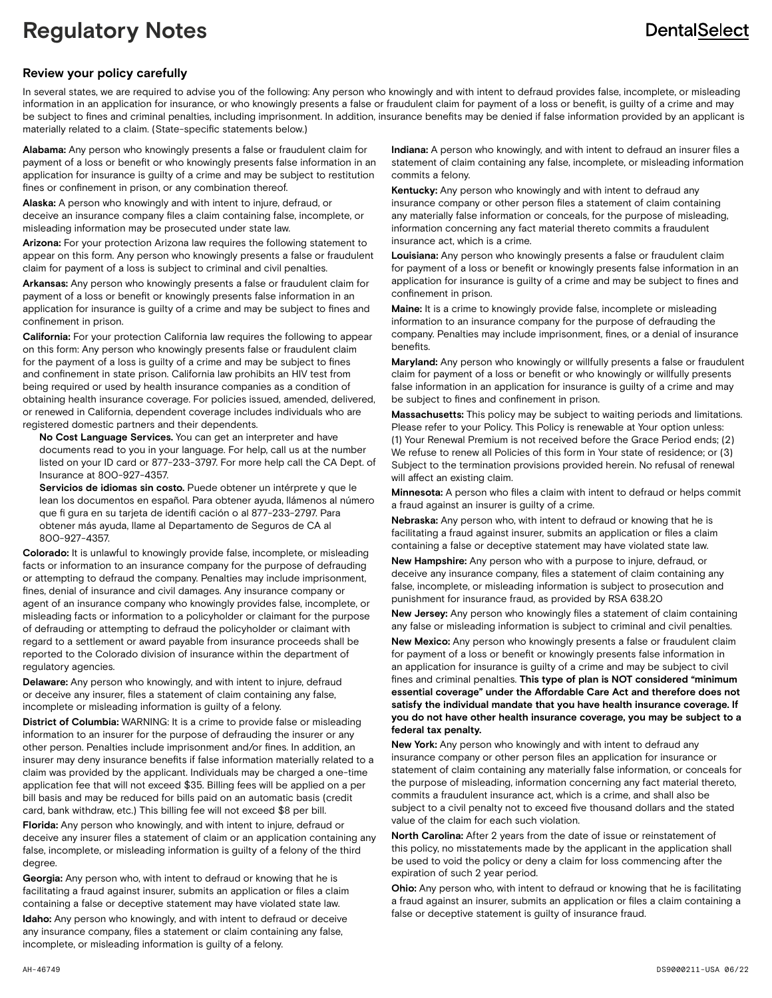# **Regulatory Notes**

## **DentalSelect**

### **Review your policy carefully**

In several states, we are required to advise you of the following: Any person who knowingly and with intent to defraud provides false, incomplete, or misleading information in an application for insurance, or who knowingly presents a false or fraudulent claim for payment of a loss or benefit, is guilty of a crime and may be subject to fines and criminal penalties, including imprisonment. In addition, insurance benefits may be denied if false information provided by an applicant is materially related to a claim. (State-specific statements below.)

**Alabama:** Any person who knowingly presents a false or fraudulent claim for payment of a loss or benefit or who knowingly presents false information in an application for insurance is guilty of a crime and may be subject to restitution fines or confinement in prison, or any combination thereof.

**Alaska:** A person who knowingly and with intent to injure, defraud, or deceive an insurance company files a claim containing false, incomplete, or misleading information may be prosecuted under state law.

**Arizona:** For your protection Arizona law requires the following statement to appear on this form. Any person who knowingly presents a false or fraudulent claim for payment of a loss is subject to criminal and civil penalties.

**Arkansas:** Any person who knowingly presents a false or fraudulent claim for payment of a loss or benefit or knowingly presents false information in an application for insurance is guilty of a crime and may be subject to fines and confinement in prison.

**California:** For your protection California law requires the following to appear on this form: Any person who knowingly presents false or fraudulent claim for the payment of a loss is guilty of a crime and may be subject to fines and confinement in state prison. California law prohibits an HIV test from being required or used by health insurance companies as a condition of obtaining health insurance coverage. For policies issued, amended, delivered, or renewed in California, dependent coverage includes individuals who are registered domestic partners and their dependents.

 **No Cost Language Services.** You can get an interpreter and have documents read to you in your language. For help, call us at the number listed on your ID card or 877-233-3797. For more help call the CA Dept. of Insurance at 800-927-4357.

 **Servicios de idiomas sin costo.** Puede obtener un intérprete y que le lean los documentos en español. Para obtener ayuda, llámenos al número que fi gura en su tarjeta de identifi cación o al 877-233-2797. Para obtener más ayuda, llame al Departamento de Seguros de CA al 800-927-4357.

**Colorado:** It is unlawful to knowingly provide false, incomplete, or misleading facts or information to an insurance company for the purpose of defrauding or attempting to defraud the company. Penalties may include imprisonment, fines, denial of insurance and civil damages. Any insurance company or agent of an insurance company who knowingly provides false, incomplete, or misleading facts or information to a policyholder or claimant for the purpose of defrauding or attempting to defraud the policyholder or claimant with regard to a settlement or award payable from insurance proceeds shall be reported to the Colorado division of insurance within the department of regulatory agencies.

**Delaware:** Any person who knowingly, and with intent to injure, defraud or deceive any insurer, files a statement of claim containing any false, incomplete or misleading information is guilty of a felony.

**District of Columbia:** WARNING: It is a crime to provide false or misleading information to an insurer for the purpose of defrauding the insurer or any other person. Penalties include imprisonment and/or fines. In addition, an insurer may deny insurance benefits if false information materially related to a claim was provided by the applicant. Individuals may be charged a one-time application fee that will not exceed \$35. Billing fees will be applied on a per bill basis and may be reduced for bills paid on an automatic basis (credit card, bank withdraw, etc.) This billing fee will not exceed \$8 per bill.

**Florida:** Any person who knowingly, and with intent to injure, defraud or deceive any insurer files a statement of claim or an application containing any false, incomplete, or misleading information is guilty of a felony of the third degree.

**Georgia:** Any person who, with intent to defraud or knowing that he is facilitating a fraud against insurer, submits an application or files a claim containing a false or deceptive statement may have violated state law.

**Idaho:** Any person who knowingly, and with intent to defraud or deceive any insurance company, files a statement or claim containing any false, incomplete, or misleading information is guilty of a felony.

**Indiana:** A person who knowingly, and with intent to defraud an insurer files a statement of claim containing any false, incomplete, or misleading information commits a felony.

**Kentucky:** Any person who knowingly and with intent to defraud any insurance company or other person files a statement of claim containing any materially false information or conceals, for the purpose of misleading, information concerning any fact material thereto commits a fraudulent insurance act, which is a crime.

**Louisiana:** Any person who knowingly presents a false or fraudulent claim for payment of a loss or benefit or knowingly presents false information in an application for insurance is guilty of a crime and may be subject to fines and confinement in prison.

**Maine:** It is a crime to knowingly provide false, incomplete or misleading information to an insurance company for the purpose of defrauding the company. Penalties may include imprisonment, fines, or a denial of insurance benefits.

**Maryland:** Any person who knowingly or willfully presents a false or fraudulent claim for payment of a loss or benefit or who knowingly or willfully presents false information in an application for insurance is guilty of a crime and may be subject to fines and confinement in prison.

**Massachusetts:** This policy may be subject to waiting periods and limitations. Please refer to your Policy. This Policy is renewable at Your option unless: (1) Your Renewal Premium is not received before the Grace Period ends; (2) We refuse to renew all Policies of this form in Your state of residence; or (3) Subject to the termination provisions provided herein. No refusal of renewal will affect an existing claim.

**Minnesota:** A person who files a claim with intent to defraud or helps commit a fraud against an insurer is guilty of a crime.

**Nebraska:** Any person who, with intent to defraud or knowing that he is facilitating a fraud against insurer, submits an application or files a claim containing a false or deceptive statement may have violated state law.

**New Hampshire:** Any person who with a purpose to injure, defraud, or deceive any insurance company, files a statement of claim containing any false, incomplete, or misleading information is subject to prosecution and punishment for insurance fraud, as provided by RSA 638.20

**New Jersey:** Any person who knowingly files a statement of claim containing any false or misleading information is subject to criminal and civil penalties.

**New Mexico:** Any person who knowingly presents a false or fraudulent claim for payment of a loss or benefit or knowingly presents false information in an application for insurance is guilty of a crime and may be subject to civil fines and criminal penalties. **This type of plan is NOT considered "minimum essential coverage" under the Affordable Care Act and therefore does not satisfy the individual mandate that you have health insurance coverage. If you do not have other health insurance coverage, you may be subject to a federal tax penalty.**

**New York:** Any person who knowingly and with intent to defraud any insurance company or other person files an application for insurance or statement of claim containing any materially false information, or conceals for the purpose of misleading, information concerning any fact material thereto, commits a fraudulent insurance act, which is a crime, and shall also be subject to a civil penalty not to exceed five thousand dollars and the stated value of the claim for each such violation.

**North Carolina:** After 2 years from the date of issue or reinstatement of this policy, no misstatements made by the applicant in the application shall be used to void the policy or deny a claim for loss commencing after the expiration of such 2 year period.

**Ohio:** Any person who, with intent to defraud or knowing that he is facilitating a fraud against an insurer, submits an application or files a claim containing a false or deceptive statement is guilty of insurance fraud.